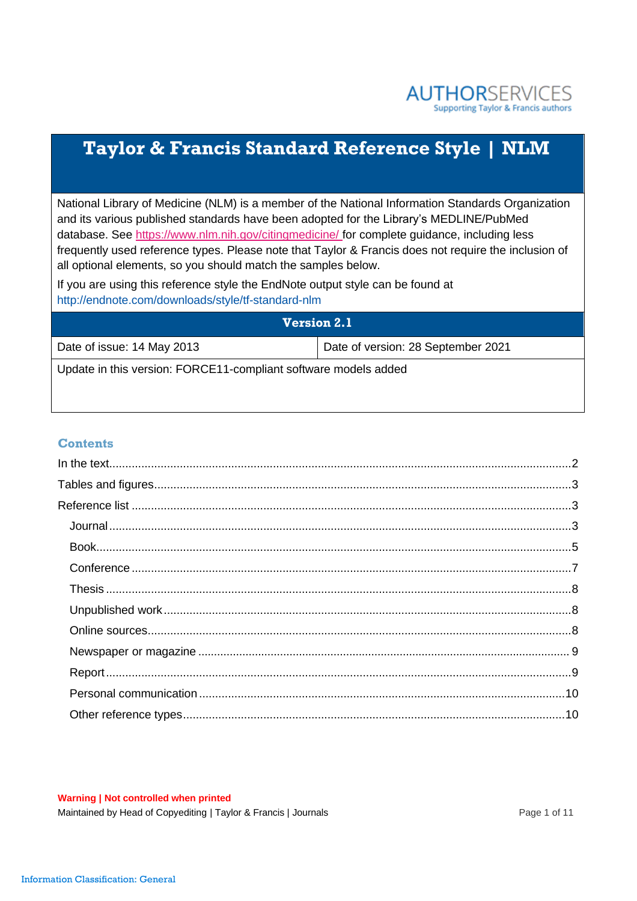

# **Taylor & Francis Standard Reference Style | NLM**

National Library of Medicine (NLM) is a member of the National Information Standards Organization and its various published standards have been adopted for the Library's MEDLINE/PubMed database. See <https://www.nlm.nih.gov/citingmedicine/> for complete guidance, including less frequently used reference types. Please note that Taylor & Francis does not require the inclusion of all optional elements, so you should match the samples below.

If you are using this reference style the EndNote output style can be found at <http://endnote.com/downloads/style/tf-standard-nlm>

| <b>Version 2.1</b>                                              |                                    |
|-----------------------------------------------------------------|------------------------------------|
| Date of issue: 14 May 2013                                      | Date of version: 28 September 2021 |
| Update in this version: FORCE11-compliant software models added |                                    |

#### **Contents**

#### **Warning | Not controlled when printed**

Maintained by Head of Copyediting | Taylor & Francis | Journals | Northern Page 1 of 11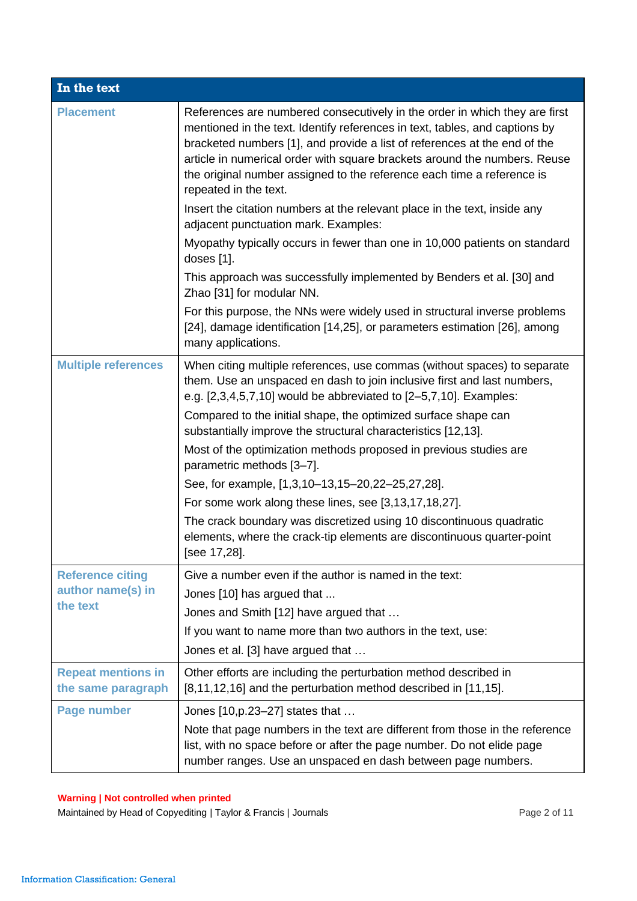<span id="page-1-0"></span>

| In the text                                     |                                                                                                                                                                                                                                                                                                                                                                                                                        |  |
|-------------------------------------------------|------------------------------------------------------------------------------------------------------------------------------------------------------------------------------------------------------------------------------------------------------------------------------------------------------------------------------------------------------------------------------------------------------------------------|--|
| <b>Placement</b>                                | References are numbered consecutively in the order in which they are first<br>mentioned in the text. Identify references in text, tables, and captions by<br>bracketed numbers [1], and provide a list of references at the end of the<br>article in numerical order with square brackets around the numbers. Reuse<br>the original number assigned to the reference each time a reference is<br>repeated in the text. |  |
|                                                 | Insert the citation numbers at the relevant place in the text, inside any<br>adjacent punctuation mark. Examples:                                                                                                                                                                                                                                                                                                      |  |
|                                                 | Myopathy typically occurs in fewer than one in 10,000 patients on standard<br>doses [1].                                                                                                                                                                                                                                                                                                                               |  |
|                                                 | This approach was successfully implemented by Benders et al. [30] and<br>Zhao [31] for modular NN.                                                                                                                                                                                                                                                                                                                     |  |
|                                                 | For this purpose, the NNs were widely used in structural inverse problems<br>[24], damage identification [14,25], or parameters estimation [26], among<br>many applications.                                                                                                                                                                                                                                           |  |
| <b>Multiple references</b>                      | When citing multiple references, use commas (without spaces) to separate<br>them. Use an unspaced en dash to join inclusive first and last numbers,<br>e.g. [2,3,4,5,7,10] would be abbreviated to [2-5,7,10]. Examples:                                                                                                                                                                                               |  |
|                                                 | Compared to the initial shape, the optimized surface shape can<br>substantially improve the structural characteristics [12,13].                                                                                                                                                                                                                                                                                        |  |
|                                                 | Most of the optimization methods proposed in previous studies are<br>parametric methods [3-7].                                                                                                                                                                                                                                                                                                                         |  |
|                                                 | See, for example, [1,3,10-13,15-20,22-25,27,28].                                                                                                                                                                                                                                                                                                                                                                       |  |
|                                                 | For some work along these lines, see [3,13,17,18,27].                                                                                                                                                                                                                                                                                                                                                                  |  |
|                                                 | The crack boundary was discretized using 10 discontinuous quadratic<br>elements, where the crack-tip elements are discontinuous quarter-point<br>[see 17,28].                                                                                                                                                                                                                                                          |  |
| <b>Reference citing</b>                         | Give a number even if the author is named in the text:                                                                                                                                                                                                                                                                                                                                                                 |  |
| author name(s) in                               | Jones [10] has argued that                                                                                                                                                                                                                                                                                                                                                                                             |  |
| the text                                        | Jones and Smith [12] have argued that                                                                                                                                                                                                                                                                                                                                                                                  |  |
|                                                 | If you want to name more than two authors in the text, use:                                                                                                                                                                                                                                                                                                                                                            |  |
|                                                 | Jones et al. [3] have argued that                                                                                                                                                                                                                                                                                                                                                                                      |  |
| <b>Repeat mentions in</b><br>the same paragraph | Other efforts are including the perturbation method described in<br>[8,11,12,16] and the perturbation method described in [11,15].                                                                                                                                                                                                                                                                                     |  |
| <b>Page number</b>                              | Jones [10, p. 23–27] states that                                                                                                                                                                                                                                                                                                                                                                                       |  |
|                                                 | Note that page numbers in the text are different from those in the reference<br>list, with no space before or after the page number. Do not elide page<br>number ranges. Use an unspaced en dash between page numbers.                                                                                                                                                                                                 |  |

Maintained by Head of Copyediting | Taylor & Francis | Journals **Page 2 of 11** Page 2 of 11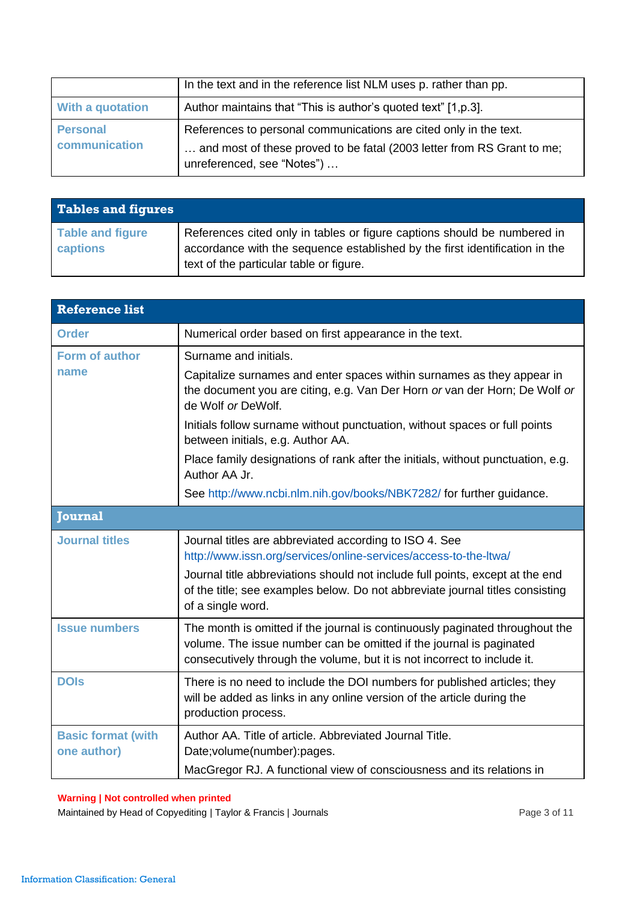|                         | In the text and in the reference list NLM uses p. rather than pp.                                    |
|-------------------------|------------------------------------------------------------------------------------------------------|
| <b>With a quotation</b> | Author maintains that "This is author's quoted text" [1, p.3].                                       |
| <b>Personal</b>         | References to personal communications are cited only in the text.                                    |
| communication           | and most of these proved to be fatal (2003 letter from RS Grant to me;<br>unreferenced, see "Notes") |

<span id="page-2-0"></span>

| <b>Tables and figures</b>           |                                                                                                                                                                                                    |
|-------------------------------------|----------------------------------------------------------------------------------------------------------------------------------------------------------------------------------------------------|
| <b>Table and figure</b><br>captions | References cited only in tables or figure captions should be numbered in<br>accordance with the sequence established by the first identification in the<br>text of the particular table or figure. |

<span id="page-2-2"></span><span id="page-2-1"></span>

| <b>Reference list</b>                    |                                                                                                                                                                                                                                                                                                                                                                                                           |  |
|------------------------------------------|-----------------------------------------------------------------------------------------------------------------------------------------------------------------------------------------------------------------------------------------------------------------------------------------------------------------------------------------------------------------------------------------------------------|--|
| <b>Order</b>                             | Numerical order based on first appearance in the text.                                                                                                                                                                                                                                                                                                                                                    |  |
| Form of author<br>name                   | Surname and initials.<br>Capitalize surnames and enter spaces within surnames as they appear in<br>the document you are citing, e.g. Van Der Horn or van der Horn; De Wolf or<br>de Wolf or DeWolf.<br>Initials follow surname without punctuation, without spaces or full points<br>between initials, e.g. Author AA.<br>Place family designations of rank after the initials, without punctuation, e.g. |  |
|                                          | Author AA Jr.<br>See http://www.ncbi.nlm.nih.gov/books/NBK7282/ for further guidance.                                                                                                                                                                                                                                                                                                                     |  |
| <b>Journal</b>                           |                                                                                                                                                                                                                                                                                                                                                                                                           |  |
| <b>Journal titles</b>                    | Journal titles are abbreviated according to ISO 4. See<br>http://www.issn.org/services/online-services/access-to-the-ltwa/<br>Journal title abbreviations should not include full points, except at the end<br>of the title; see examples below. Do not abbreviate journal titles consisting<br>of a single word.                                                                                         |  |
| <b>Issue numbers</b>                     | The month is omitted if the journal is continuously paginated throughout the<br>volume. The issue number can be omitted if the journal is paginated<br>consecutively through the volume, but it is not incorrect to include it.                                                                                                                                                                           |  |
| <b>DOIS</b>                              | There is no need to include the DOI numbers for published articles; they<br>will be added as links in any online version of the article during the<br>production process.                                                                                                                                                                                                                                 |  |
| <b>Basic format (with</b><br>one author) | Author AA. Title of article. Abbreviated Journal Title.<br>Date; volume (number): pages.<br>MacGregor RJ. A functional view of consciousness and its relations in                                                                                                                                                                                                                                         |  |

Maintained by Head of Copyediting | Taylor & Francis | Journals **Page 3 of 11** Page 3 of 11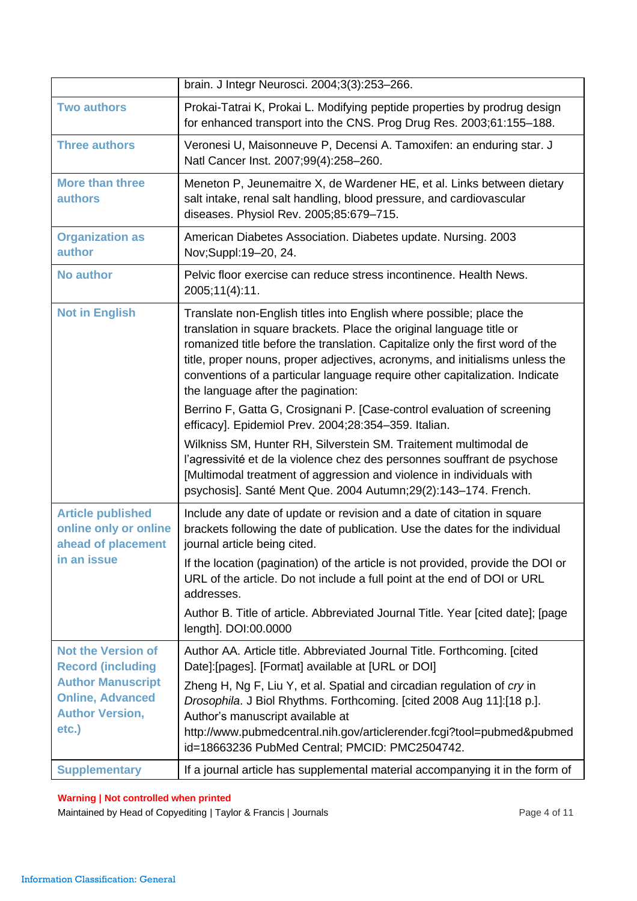|                                                                                                                                                 | brain. J Integr Neurosci. 2004;3(3):253-266.                                                                                                                                                                                                                                                                                                                                                                                                      |
|-------------------------------------------------------------------------------------------------------------------------------------------------|---------------------------------------------------------------------------------------------------------------------------------------------------------------------------------------------------------------------------------------------------------------------------------------------------------------------------------------------------------------------------------------------------------------------------------------------------|
| <b>Two authors</b>                                                                                                                              | Prokai-Tatrai K, Prokai L. Modifying peptide properties by prodrug design<br>for enhanced transport into the CNS. Prog Drug Res. 2003;61:155-188.                                                                                                                                                                                                                                                                                                 |
| <b>Three authors</b>                                                                                                                            | Veronesi U, Maisonneuve P, Decensi A. Tamoxifen: an enduring star. J<br>Natl Cancer Inst. 2007;99(4):258-260.                                                                                                                                                                                                                                                                                                                                     |
| <b>More than three</b><br>authors                                                                                                               | Meneton P, Jeunemaitre X, de Wardener HE, et al. Links between dietary<br>salt intake, renal salt handling, blood pressure, and cardiovascular<br>diseases. Physiol Rev. 2005;85:679-715.                                                                                                                                                                                                                                                         |
| <b>Organization as</b><br>author                                                                                                                | American Diabetes Association. Diabetes update. Nursing. 2003<br>Nov;Suppl:19-20, 24.                                                                                                                                                                                                                                                                                                                                                             |
| <b>No author</b>                                                                                                                                | Pelvic floor exercise can reduce stress incontinence. Health News.<br>2005;11(4):11.                                                                                                                                                                                                                                                                                                                                                              |
| <b>Not in English</b>                                                                                                                           | Translate non-English titles into English where possible; place the<br>translation in square brackets. Place the original language title or<br>romanized title before the translation. Capitalize only the first word of the<br>title, proper nouns, proper adjectives, acronyms, and initialisms unless the<br>conventions of a particular language require other capitalization. Indicate<br>the language after the pagination:                 |
|                                                                                                                                                 | Berrino F, Gatta G, Crosignani P. [Case-control evaluation of screening<br>efficacy]. Epidemiol Prev. 2004;28:354-359. Italian.                                                                                                                                                                                                                                                                                                                   |
|                                                                                                                                                 | Wilkniss SM, Hunter RH, Silverstein SM. Traitement multimodal de<br>l'agressivité et de la violence chez des personnes souffrant de psychose<br>[Multimodal treatment of aggression and violence in individuals with<br>psychosis]. Santé Ment Que. 2004 Autumn;29(2):143-174. French.                                                                                                                                                            |
| <b>Article published</b><br>online only or online<br>ahead of placement                                                                         | Include any date of update or revision and a date of citation in square<br>brackets following the date of publication. Use the dates for the individual<br>journal article being cited.                                                                                                                                                                                                                                                           |
| in an issue                                                                                                                                     | If the location (pagination) of the article is not provided, provide the DOI or<br>URL of the article. Do not include a full point at the end of DOI or URL<br>addresses.                                                                                                                                                                                                                                                                         |
|                                                                                                                                                 | Author B. Title of article. Abbreviated Journal Title. Year [cited date]; [page<br>length]. DOI:00.0000                                                                                                                                                                                                                                                                                                                                           |
| <b>Not the Version of</b><br><b>Record (including</b><br><b>Author Manuscript</b><br><b>Online, Advanced</b><br><b>Author Version,</b><br>etc.) | Author AA. Article title. Abbreviated Journal Title. Forthcoming. [cited<br>Date]:[pages]. [Format] available at [URL or DOI]<br>Zheng H, Ng F, Liu Y, et al. Spatial and circadian regulation of cry in<br>Drosophila. J Biol Rhythms. Forthcoming. [cited 2008 Aug 11]:[18 p.].<br>Author's manuscript available at<br>http://www.pubmedcentral.nih.gov/articlerender.fcgi?tool=pubmed&pubmed<br>id=18663236 PubMed Central; PMCID: PMC2504742. |
| <b>Supplementary</b>                                                                                                                            | If a journal article has supplemental material accompanying it in the form of                                                                                                                                                                                                                                                                                                                                                                     |

Maintained by Head of Copyediting | Taylor & Francis | Journals **Page 4 of 11** Page 4 of 11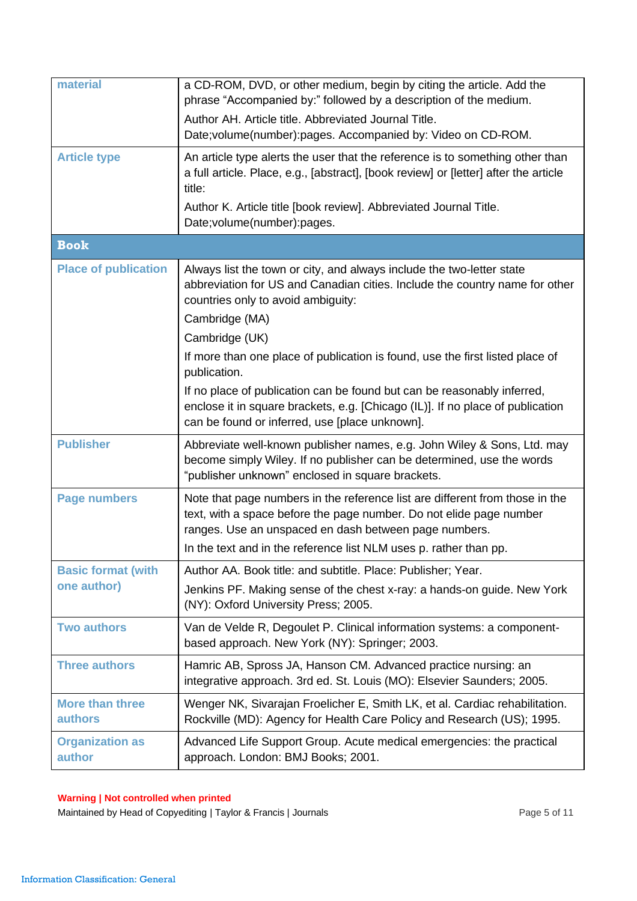<span id="page-4-0"></span>

| material                                 | a CD-ROM, DVD, or other medium, begin by citing the article. Add the<br>phrase "Accompanied by:" followed by a description of the medium.<br>Author AH. Article title. Abbreviated Journal Title.                                                                                 |
|------------------------------------------|-----------------------------------------------------------------------------------------------------------------------------------------------------------------------------------------------------------------------------------------------------------------------------------|
|                                          | Date; volume (number): pages. Accompanied by: Video on CD-ROM.                                                                                                                                                                                                                    |
| <b>Article type</b>                      | An article type alerts the user that the reference is to something other than<br>a full article. Place, e.g., [abstract], [book review] or [letter] after the article<br>title:                                                                                                   |
|                                          | Author K. Article title [book review]. Abbreviated Journal Title.<br>Date; volume(number): pages.                                                                                                                                                                                 |
| <b>Book</b>                              |                                                                                                                                                                                                                                                                                   |
| <b>Place of publication</b>              | Always list the town or city, and always include the two-letter state<br>abbreviation for US and Canadian cities. Include the country name for other<br>countries only to avoid ambiguity:                                                                                        |
|                                          | Cambridge (MA)<br>Cambridge (UK)                                                                                                                                                                                                                                                  |
|                                          | If more than one place of publication is found, use the first listed place of<br>publication.                                                                                                                                                                                     |
|                                          | If no place of publication can be found but can be reasonably inferred,<br>enclose it in square brackets, e.g. [Chicago (IL)]. If no place of publication<br>can be found or inferred, use [place unknown].                                                                       |
| <b>Publisher</b>                         | Abbreviate well-known publisher names, e.g. John Wiley & Sons, Ltd. may<br>become simply Wiley. If no publisher can be determined, use the words<br>"publisher unknown" enclosed in square brackets.                                                                              |
| <b>Page numbers</b>                      | Note that page numbers in the reference list are different from those in the<br>text, with a space before the page number. Do not elide page number<br>ranges. Use an unspaced en dash between page numbers.<br>In the text and in the reference list NLM uses p. rather than pp. |
| <b>Basic format (with</b><br>one author) | Author AA. Book title: and subtitle. Place: Publisher; Year.<br>Jenkins PF. Making sense of the chest x-ray: a hands-on guide. New York<br>(NY): Oxford University Press; 2005.                                                                                                   |
| <b>Two authors</b>                       | Van de Velde R, Degoulet P. Clinical information systems: a component-<br>based approach. New York (NY): Springer; 2003.                                                                                                                                                          |
| <b>Three authors</b>                     | Hamric AB, Spross JA, Hanson CM. Advanced practice nursing: an<br>integrative approach. 3rd ed. St. Louis (MO): Elsevier Saunders; 2005.                                                                                                                                          |
| <b>More than three</b><br><b>authors</b> | Wenger NK, Sivarajan Froelicher E, Smith LK, et al. Cardiac rehabilitation.<br>Rockville (MD): Agency for Health Care Policy and Research (US); 1995.                                                                                                                             |
| <b>Organization as</b><br>author         | Advanced Life Support Group. Acute medical emergencies: the practical<br>approach. London: BMJ Books; 2001.                                                                                                                                                                       |

Maintained by Head of Copyediting | Taylor & Francis | Journals **Page 5 of 11** Page 5 of 11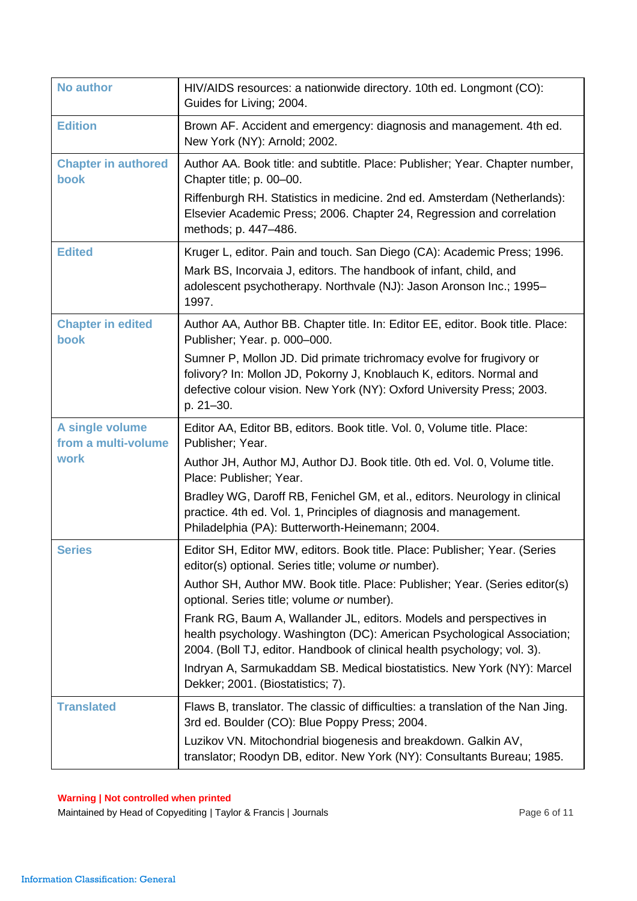| <b>No author</b>                       | HIV/AIDS resources: a nationwide directory. 10th ed. Longmont (CO):<br>Guides for Living; 2004.                                                                                                                                     |
|----------------------------------------|-------------------------------------------------------------------------------------------------------------------------------------------------------------------------------------------------------------------------------------|
| <b>Edition</b>                         | Brown AF. Accident and emergency: diagnosis and management. 4th ed.<br>New York (NY): Arnold; 2002.                                                                                                                                 |
| <b>Chapter in authored</b><br>book     | Author AA. Book title: and subtitle. Place: Publisher; Year. Chapter number,<br>Chapter title; p. 00-00.                                                                                                                            |
|                                        | Riffenburgh RH. Statistics in medicine. 2nd ed. Amsterdam (Netherlands):<br>Elsevier Academic Press; 2006. Chapter 24, Regression and correlation<br>methods; p. 447-486.                                                           |
| <b>Edited</b>                          | Kruger L, editor. Pain and touch. San Diego (CA): Academic Press; 1996.<br>Mark BS, Incorvaia J, editors. The handbook of infant, child, and<br>adolescent psychotherapy. Northvale (NJ): Jason Aronson Inc.; 1995-<br>1997.        |
| <b>Chapter in edited</b><br>book       | Author AA, Author BB. Chapter title. In: Editor EE, editor. Book title. Place:<br>Publisher; Year. p. 000-000.                                                                                                                      |
|                                        | Sumner P, Mollon JD. Did primate trichromacy evolve for frugivory or<br>folivory? In: Mollon JD, Pokorny J, Knoblauch K, editors. Normal and<br>defective colour vision. New York (NY): Oxford University Press; 2003.<br>p. 21-30. |
| A single volume<br>from a multi-volume | Editor AA, Editor BB, editors. Book title. Vol. 0, Volume title. Place:<br>Publisher; Year.                                                                                                                                         |
| work                                   | Author JH, Author MJ, Author DJ. Book title. 0th ed. Vol. 0, Volume title.<br>Place: Publisher; Year.                                                                                                                               |
|                                        | Bradley WG, Daroff RB, Fenichel GM, et al., editors. Neurology in clinical<br>practice. 4th ed. Vol. 1, Principles of diagnosis and management.<br>Philadelphia (PA): Butterworth-Heinemann; 2004.                                  |
| <b>Series</b>                          | Editor SH, Editor MW, editors. Book title. Place: Publisher; Year. (Series<br>editor(s) optional. Series title; volume or number).                                                                                                  |
|                                        | Author SH, Author MW. Book title. Place: Publisher; Year. (Series editor(s)<br>optional. Series title; volume or number).                                                                                                           |
|                                        | Frank RG, Baum A, Wallander JL, editors. Models and perspectives in<br>health psychology. Washington (DC): American Psychological Association;<br>2004. (Boll TJ, editor. Handbook of clinical health psychology; vol. 3).          |
|                                        | Indryan A, Sarmukaddam SB. Medical biostatistics. New York (NY): Marcel<br>Dekker; 2001. (Biostatistics; 7).                                                                                                                        |
| <b>Translated</b>                      | Flaws B, translator. The classic of difficulties: a translation of the Nan Jing.<br>3rd ed. Boulder (CO): Blue Poppy Press; 2004.                                                                                                   |
|                                        | Luzikov VN. Mitochondrial biogenesis and breakdown. Galkin AV,<br>translator; Roodyn DB, editor. New York (NY): Consultants Bureau; 1985.                                                                                           |

Maintained by Head of Copyediting | Taylor & Francis | Journals **Page 6 of 11** Page 6 of 11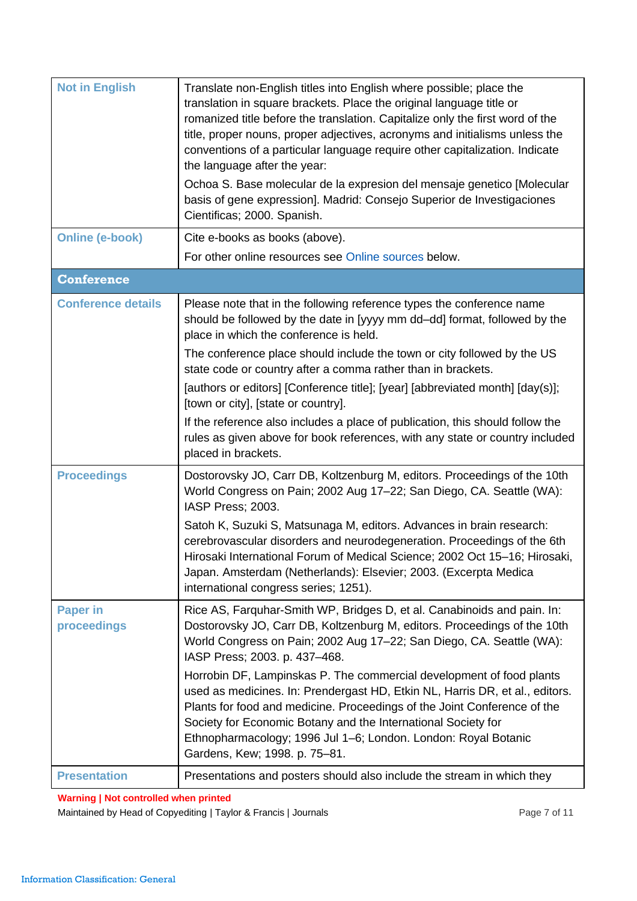<span id="page-6-0"></span>

| <b>Not in English</b>          | Translate non-English titles into English where possible; place the<br>translation in square brackets. Place the original language title or<br>romanized title before the translation. Capitalize only the first word of the<br>title, proper nouns, proper adjectives, acronyms and initialisms unless the<br>conventions of a particular language require other capitalization. Indicate<br>the language after the year:<br>Ochoa S. Base molecular de la expresion del mensaje genetico [Molecular<br>basis of gene expression]. Madrid: Consejo Superior de Investigaciones<br>Cientificas; 2000. Spanish. |
|--------------------------------|----------------------------------------------------------------------------------------------------------------------------------------------------------------------------------------------------------------------------------------------------------------------------------------------------------------------------------------------------------------------------------------------------------------------------------------------------------------------------------------------------------------------------------------------------------------------------------------------------------------|
| <b>Online (e-book)</b>         | Cite e-books as books (above).                                                                                                                                                                                                                                                                                                                                                                                                                                                                                                                                                                                 |
|                                | For other online resources see Online sources below.                                                                                                                                                                                                                                                                                                                                                                                                                                                                                                                                                           |
| <b>Conference</b>              |                                                                                                                                                                                                                                                                                                                                                                                                                                                                                                                                                                                                                |
| <b>Conference details</b>      | Please note that in the following reference types the conference name<br>should be followed by the date in [yyyy mm dd-dd] format, followed by the<br>place in which the conference is held.                                                                                                                                                                                                                                                                                                                                                                                                                   |
|                                | The conference place should include the town or city followed by the US<br>state code or country after a comma rather than in brackets.                                                                                                                                                                                                                                                                                                                                                                                                                                                                        |
|                                | [authors or editors] [Conference title]; [year] [abbreviated month] [day(s)];<br>[town or city], [state or country].                                                                                                                                                                                                                                                                                                                                                                                                                                                                                           |
|                                | If the reference also includes a place of publication, this should follow the<br>rules as given above for book references, with any state or country included<br>placed in brackets.                                                                                                                                                                                                                                                                                                                                                                                                                           |
| <b>Proceedings</b>             | Dostorovsky JO, Carr DB, Koltzenburg M, editors. Proceedings of the 10th<br>World Congress on Pain; 2002 Aug 17-22; San Diego, CA. Seattle (WA):<br>IASP Press; 2003.                                                                                                                                                                                                                                                                                                                                                                                                                                          |
|                                | Satoh K, Suzuki S, Matsunaga M, editors. Advances in brain research:<br>cerebrovascular disorders and neurodegeneration. Proceedings of the 6th<br>Hirosaki International Forum of Medical Science; 2002 Oct 15-16; Hirosaki,<br>Japan. Amsterdam (Netherlands): Elsevier; 2003. (Excerpta Medica<br>international congress series; 1251).                                                                                                                                                                                                                                                                     |
| <b>Paper in</b><br>proceedings | Rice AS, Farquhar-Smith WP, Bridges D, et al. Canabinoids and pain. In:<br>Dostorovsky JO, Carr DB, Koltzenburg M, editors. Proceedings of the 10th<br>World Congress on Pain; 2002 Aug 17-22; San Diego, CA. Seattle (WA):<br>IASP Press; 2003. p. 437-468.                                                                                                                                                                                                                                                                                                                                                   |
|                                | Horrobin DF, Lampinskas P. The commercial development of food plants<br>used as medicines. In: Prendergast HD, Etkin NL, Harris DR, et al., editors.<br>Plants for food and medicine. Proceedings of the Joint Conference of the<br>Society for Economic Botany and the International Society for<br>Ethnopharmacology; 1996 Jul 1–6; London. London: Royal Botanic<br>Gardens, Kew; 1998. p. 75-81.                                                                                                                                                                                                           |
| <b>Presentation</b>            | Presentations and posters should also include the stream in which they                                                                                                                                                                                                                                                                                                                                                                                                                                                                                                                                         |

Maintained by Head of Copyediting | Taylor & Francis | Journals **Page 7 of 11** Page 7 of 11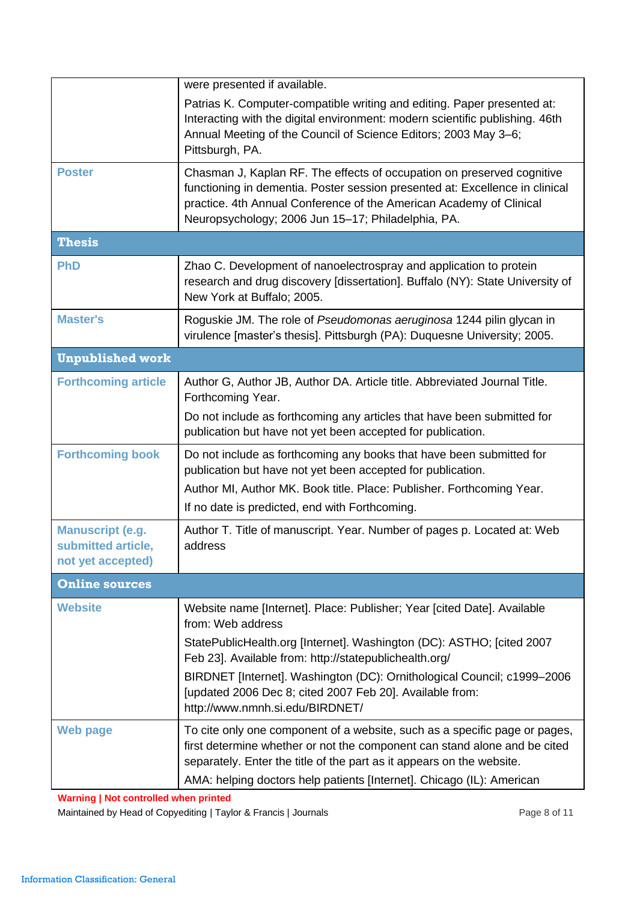<span id="page-7-1"></span><span id="page-7-0"></span>

|                                                                    | were presented if available.                                                                                                                                                                                                                                                        |  |
|--------------------------------------------------------------------|-------------------------------------------------------------------------------------------------------------------------------------------------------------------------------------------------------------------------------------------------------------------------------------|--|
|                                                                    | Patrias K. Computer-compatible writing and editing. Paper presented at:<br>Interacting with the digital environment: modern scientific publishing. 46th<br>Annual Meeting of the Council of Science Editors; 2003 May 3-6;<br>Pittsburgh, PA.                                       |  |
| <b>Poster</b>                                                      | Chasman J, Kaplan RF. The effects of occupation on preserved cognitive<br>functioning in dementia. Poster session presented at: Excellence in clinical<br>practice. 4th Annual Conference of the American Academy of Clinical<br>Neuropsychology; 2006 Jun 15-17; Philadelphia, PA. |  |
| <b>Thesis</b>                                                      |                                                                                                                                                                                                                                                                                     |  |
| <b>PhD</b>                                                         | Zhao C. Development of nanoelectrospray and application to protein<br>research and drug discovery [dissertation]. Buffalo (NY): State University of<br>New York at Buffalo; 2005.                                                                                                   |  |
| <b>Master's</b>                                                    | Roguskie JM. The role of Pseudomonas aeruginosa 1244 pilin glycan in<br>virulence [master's thesis]. Pittsburgh (PA): Duquesne University; 2005.                                                                                                                                    |  |
| <b>Unpublished work</b>                                            |                                                                                                                                                                                                                                                                                     |  |
| <b>Forthcoming article</b>                                         | Author G, Author JB, Author DA. Article title. Abbreviated Journal Title.<br>Forthcoming Year.                                                                                                                                                                                      |  |
|                                                                    | Do not include as forthcoming any articles that have been submitted for<br>publication but have not yet been accepted for publication.                                                                                                                                              |  |
| <b>Forthcoming book</b>                                            | Do not include as forthcoming any books that have been submitted for<br>publication but have not yet been accepted for publication.                                                                                                                                                 |  |
|                                                                    | Author MI, Author MK. Book title. Place: Publisher. Forthcoming Year.                                                                                                                                                                                                               |  |
|                                                                    | If no date is predicted, end with Forthcoming.                                                                                                                                                                                                                                      |  |
| <b>Manuscript (e.g.</b><br>submitted article,<br>not yet accepted) | Author T. Title of manuscript. Year. Number of pages p. Located at: Web<br>address                                                                                                                                                                                                  |  |
| <b>Online sources</b>                                              |                                                                                                                                                                                                                                                                                     |  |
| <b>Website</b>                                                     | Website name [Internet]. Place: Publisher; Year [cited Date]. Available<br>from: Web address                                                                                                                                                                                        |  |
|                                                                    | StatePublicHealth.org [Internet]. Washington (DC): ASTHO; [cited 2007<br>Feb 23]. Available from: http://statepublichealth.org/                                                                                                                                                     |  |
|                                                                    | BIRDNET [Internet]. Washington (DC): Ornithological Council; c1999-2006<br>[updated 2006 Dec 8; cited 2007 Feb 20]. Available from:<br>http://www.nmnh.si.edu/BIRDNET/                                                                                                              |  |
| <b>Web page</b>                                                    | To cite only one component of a website, such as a specific page or pages,<br>first determine whether or not the component can stand alone and be cited<br>separately. Enter the title of the part as it appears on the website.                                                    |  |
|                                                                    | AMA: helping doctors help patients [Internet]. Chicago (IL): American                                                                                                                                                                                                               |  |

<span id="page-7-2"></span>Maintained by Head of Copyediting | Taylor & Francis | Journals **Page 8 of 11** Page 8 of 11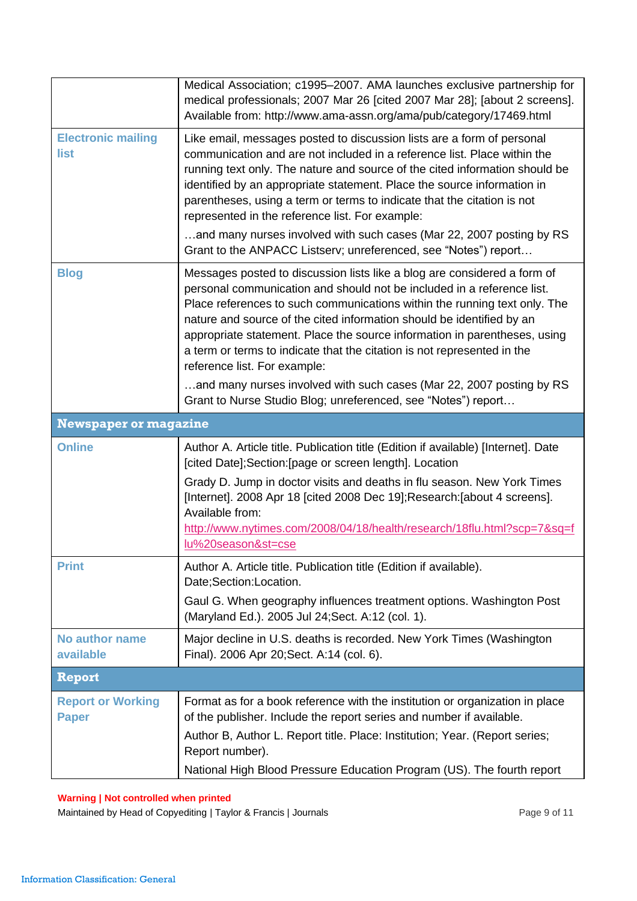<span id="page-8-0"></span>

|                                          | Medical Association; c1995-2007. AMA launches exclusive partnership for<br>medical professionals; 2007 Mar 26 [cited 2007 Mar 28]; [about 2 screens].<br>Available from: http://www.ama-assn.org/ama/pub/category/17469.html                                                                                                                                                                                                                                                                                                                                                          |
|------------------------------------------|---------------------------------------------------------------------------------------------------------------------------------------------------------------------------------------------------------------------------------------------------------------------------------------------------------------------------------------------------------------------------------------------------------------------------------------------------------------------------------------------------------------------------------------------------------------------------------------|
| <b>Electronic mailing</b><br>list        | Like email, messages posted to discussion lists are a form of personal<br>communication and are not included in a reference list. Place within the<br>running text only. The nature and source of the cited information should be<br>identified by an appropriate statement. Place the source information in<br>parentheses, using a term or terms to indicate that the citation is not<br>represented in the reference list. For example:<br>and many nurses involved with such cases (Mar 22, 2007 posting by RS<br>Grant to the ANPACC Listserv; unreferenced, see "Notes") report |
| <b>Blog</b>                              | Messages posted to discussion lists like a blog are considered a form of<br>personal communication and should not be included in a reference list.<br>Place references to such communications within the running text only. The<br>nature and source of the cited information should be identified by an<br>appropriate statement. Place the source information in parentheses, using<br>a term or terms to indicate that the citation is not represented in the<br>reference list. For example:<br>and many nurses involved with such cases (Mar 22, 2007 posting by RS              |
|                                          | Grant to Nurse Studio Blog; unreferenced, see "Notes") report                                                                                                                                                                                                                                                                                                                                                                                                                                                                                                                         |
| <b>Newspaper or magazine</b>             |                                                                                                                                                                                                                                                                                                                                                                                                                                                                                                                                                                                       |
| <b>Online</b>                            | Author A. Article title. Publication title (Edition if available) [Internet]. Date<br>[cited Date]; Section: [page or screen length]. Location<br>Grady D. Jump in doctor visits and deaths in flu season. New York Times<br>[Internet]. 2008 Apr 18 [cited 2008 Dec 19]; Research: [about 4 screens].<br>Available from:<br>http://www.nytimes.com/2008/04/18/health/research/18flu.html?scp=7&sq=f<br>lu%20season&st=cse                                                                                                                                                            |
| <b>Print</b>                             | Author A. Article title. Publication title (Edition if available).<br>Date;Section:Location.<br>Gaul G. When geography influences treatment options. Washington Post<br>(Maryland Ed.). 2005 Jul 24; Sect. A:12 (col. 1).                                                                                                                                                                                                                                                                                                                                                             |
| No author name<br>available              | Major decline in U.S. deaths is recorded. New York Times (Washington<br>Final). 2006 Apr 20; Sect. A:14 (col. 6).                                                                                                                                                                                                                                                                                                                                                                                                                                                                     |
| <b>Report</b>                            |                                                                                                                                                                                                                                                                                                                                                                                                                                                                                                                                                                                       |
| <b>Report or Working</b><br><b>Paper</b> | Format as for a book reference with the institution or organization in place<br>of the publisher. Include the report series and number if available.<br>Author B, Author L. Report title. Place: Institution; Year. (Report series;<br>Report number).<br>National High Blood Pressure Education Program (US). The fourth report                                                                                                                                                                                                                                                      |

<span id="page-8-1"></span>Maintained by Head of Copyediting | Taylor & Francis | Journals **Page 9 of 11** Page 9 of 11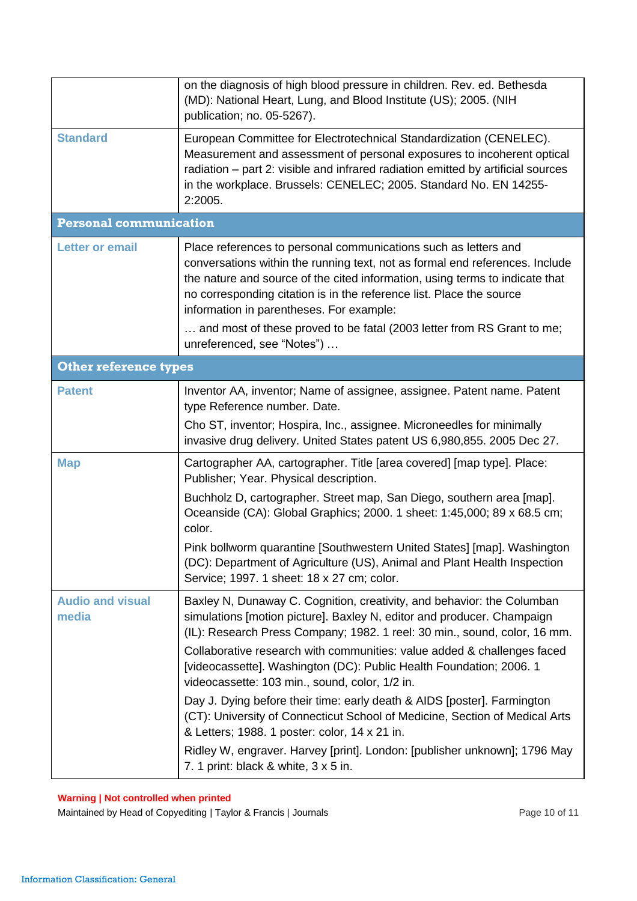<span id="page-9-1"></span><span id="page-9-0"></span>

|                                  | on the diagnosis of high blood pressure in children. Rev. ed. Bethesda<br>(MD): National Heart, Lung, and Blood Institute (US); 2005. (NIH<br>publication; no. 05-5267).                                                                                                                                                                                                                                                                                                                                                                                                                                                                                                                                                                                          |  |
|----------------------------------|-------------------------------------------------------------------------------------------------------------------------------------------------------------------------------------------------------------------------------------------------------------------------------------------------------------------------------------------------------------------------------------------------------------------------------------------------------------------------------------------------------------------------------------------------------------------------------------------------------------------------------------------------------------------------------------------------------------------------------------------------------------------|--|
| <b>Standard</b>                  | European Committee for Electrotechnical Standardization (CENELEC).<br>Measurement and assessment of personal exposures to incoherent optical<br>radiation – part 2: visible and infrared radiation emitted by artificial sources<br>in the workplace. Brussels: CENELEC; 2005. Standard No. EN 14255-<br>2:2005.                                                                                                                                                                                                                                                                                                                                                                                                                                                  |  |
| <b>Personal communication</b>    |                                                                                                                                                                                                                                                                                                                                                                                                                                                                                                                                                                                                                                                                                                                                                                   |  |
| <b>Letter or email</b>           | Place references to personal communications such as letters and<br>conversations within the running text, not as formal end references. Include<br>the nature and source of the cited information, using terms to indicate that<br>no corresponding citation is in the reference list. Place the source<br>information in parentheses. For example:<br>and most of these proved to be fatal (2003 letter from RS Grant to me;<br>unreferenced, see "Notes")                                                                                                                                                                                                                                                                                                       |  |
| <b>Other reference types</b>     |                                                                                                                                                                                                                                                                                                                                                                                                                                                                                                                                                                                                                                                                                                                                                                   |  |
| <b>Patent</b>                    | Inventor AA, inventor; Name of assignee, assignee. Patent name. Patent<br>type Reference number. Date.<br>Cho ST, inventor; Hospira, Inc., assignee. Microneedles for minimally<br>invasive drug delivery. United States patent US 6,980,855. 2005 Dec 27.                                                                                                                                                                                                                                                                                                                                                                                                                                                                                                        |  |
| <b>Map</b>                       | Cartographer AA, cartographer. Title [area covered] [map type]. Place:<br>Publisher; Year. Physical description.                                                                                                                                                                                                                                                                                                                                                                                                                                                                                                                                                                                                                                                  |  |
|                                  | Buchholz D, cartographer. Street map, San Diego, southern area [map].<br>Oceanside (CA): Global Graphics; 2000. 1 sheet: 1:45,000; 89 x 68.5 cm;<br>color.<br>Pink bollworm quarantine [Southwestern United States] [map]. Washington<br>(DC): Department of Agriculture (US), Animal and Plant Health Inspection<br>Service; 1997. 1 sheet: 18 x 27 cm; color.                                                                                                                                                                                                                                                                                                                                                                                                   |  |
| <b>Audio and visual</b><br>media | Baxley N, Dunaway C. Cognition, creativity, and behavior: the Columban<br>simulations [motion picture]. Baxley N, editor and producer. Champaign<br>(IL): Research Press Company; 1982. 1 reel: 30 min., sound, color, 16 mm.<br>Collaborative research with communities: value added & challenges faced<br>[videocassette]. Washington (DC): Public Health Foundation; 2006. 1<br>videocassette: 103 min., sound, color, 1/2 in.<br>Day J. Dying before their time: early death & AIDS [poster]. Farmington<br>(CT): University of Connecticut School of Medicine, Section of Medical Arts<br>& Letters; 1988. 1 poster: color, 14 x 21 in.<br>Ridley W, engraver. Harvey [print]. London: [publisher unknown]; 1796 May<br>7. 1 print: black & white, 3 x 5 in. |  |

Maintained by Head of Copyediting | Taylor & Francis | Journals **Page 10 of 11** Page 10 of 11